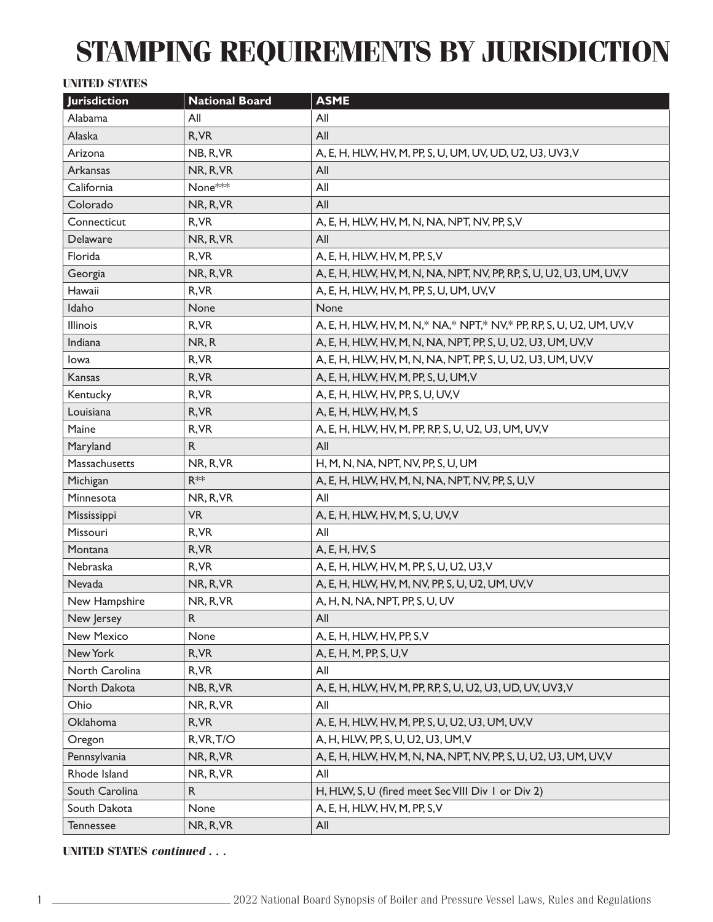# **STAMPING REQUIREMENTS BY JURISDICTION**

## **UNITED STATES**

| <b>Jurisdiction</b> | <b>National Board</b> | <b>ASME</b>                                                              |
|---------------------|-----------------------|--------------------------------------------------------------------------|
| Alabama             | All                   | All                                                                      |
| Alaska              | R, VR                 | All                                                                      |
| Arizona             | NB, R, VR             | A, E, H, HLW, HV, M, PP, S, U, UM, UV, UD, U2, U3, UV3, V                |
| Arkansas            | NR, R, VR             | All                                                                      |
| California          | None <sup>***</sup>   | All                                                                      |
| Colorado            | NR, R, VR             | All                                                                      |
| Connecticut         | R, VR                 | A, E, H, HLW, HV, M, N, NA, NPT, NV, PP, S, V                            |
| Delaware            | NR, R, VR             | All                                                                      |
| Florida             | R, VR                 | A, E, H, HLW, HV, M, PP, S, V                                            |
| Georgia             | NR, R, VR             | A, E, H, HLW, HV, M, N, NA, NPT, NV, PP, RP, S, U, U2, U3, UM, UV, V     |
| Hawaii              | R, VR                 | A, E, H, HLW, HV, M, PP, S, U, UM, UV, V                                 |
| Idaho               | None                  | None                                                                     |
| Illinois            | R, VR                 | A, E, H, HLW, HV, M, N, * NA, * NPT, * NV, * PP, RP, S, U, U2, UM, UV, V |
| Indiana             | NR, R                 | A, E, H, HLW, HV, M, N, NA, NPT, PP, S, U, U2, U3, UM, UV, V             |
| lowa                | R, VR                 | A, E, H, HLW, HV, M, N, NA, NPT, PP, S, U, U2, U3, UM, UV, V             |
| Kansas              | R, VR                 | A, E, H, HLW, HV, M, PP, S, U, UM, V                                     |
| Kentucky            | R, VR                 | A, E, H, HLW, HV, PP, S, U, UV, V                                        |
| Louisiana           | R, VR                 | A, E, H, HLW, HV, M, S                                                   |
| Maine               | R, VR                 | A, E, H, HLW, HV, M, PP, RP, S, U, U2, U3, UM, UV, V                     |
| Maryland            | $\mathsf{R}$          | All                                                                      |
| Massachusetts       | NR, R, VR             | H, M, N, NA, NPT, NV, PP, S, U, UM                                       |
| Michigan            | $R^{**}$              | A, E, H, HLW, HV, M, N, NA, NPT, NV, PP, S, U, V                         |
| Minnesota           | NR, R, VR             | All                                                                      |
| Mississippi         | <b>VR</b>             | A, E, H, HLW, HV, M, S, U, UV, V                                         |
| Missouri            | R, VR                 | All                                                                      |
| Montana             | R, VR                 | A, E, H, HV, S                                                           |
| Nebraska            | R, VR                 | A, E, H, HLW, HV, M, PP, S, U, U2, U3, V                                 |
| Nevada              | NR, R, VR             | A, E, H, HLW, HV, M, NV, PP, S, U, U2, UM, UV, V                         |
| New Hampshire       | NR, R, VR             | A, H, N, NA, NPT, PP, S, U, UV                                           |
| New Jersey          | R                     | All                                                                      |
| New Mexico          | None                  | A, E, H, HLW, HV, PP, S, V                                               |
| New York            | R, VR                 | A, E, H, M, PP, S, U, V                                                  |
| North Carolina      | R, VR                 | All                                                                      |
| North Dakota        | NB, R, VR             | A, E, H, HLW, HV, M, PP, RP, S, U, U2, U3, UD, UV, UV3, V                |
| Ohio                | NR, R, VR             | All                                                                      |
| Oklahoma            | R, VR                 | A, E, H, HLW, HV, M, PP, S, U, U2, U3, UM, UV, V                         |
| Oregon              | R, VR, T/O            | A, H, HLW, PP, S, U, U2, U3, UM, V                                       |
| Pennsylvania        | NR, R, VR             | A, E, H, HLW, HV, M, N, NA, NPT, NV, PP, S, U, U2, U3, UM, UV, V         |
| Rhode Island        | NR, R, VR             | All                                                                      |
| South Carolina      | R.                    | H, HLW, S, U (fired meet Sec VIII Div 1 or Div 2)                        |
| South Dakota        | None                  | A, E, H, HLW, HV, M, PP, S, V                                            |
| <b>Tennessee</b>    | NR, R, VR             | All                                                                      |

### **UNITED STATES** *continued . . .*